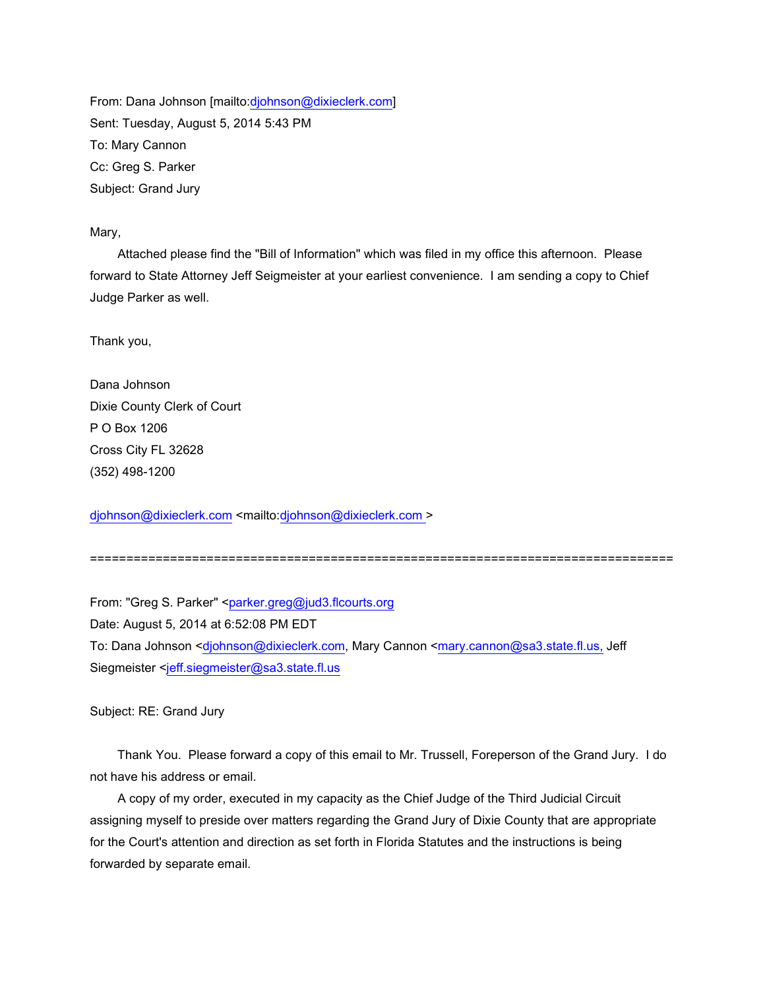From: Dana Johnson [mailto:djohnson@dixieclerk.com] Sent: Tuesday, August 5, 2014 5:43 PM To: Mary Cannon Cc: Greg S. Parker Subject: Grand Jury

## Mary,

 Attached please find the "Bill of Information" which was filed in my office this afternoon. Please forward to State Attorney Jeff Seigmeister at your earliest convenience. I am sending a copy to Chief Judge Parker as well.

Thank you,

Dana Johnson Dixie County Clerk of Court P O Box 1206 Cross City FL 32628 (352) 498-1200

djohnson@dixieclerk.com <mailto:djohnson@dixieclerk.com >

================================================================================

From: "Greg S. Parker" <parker.greg@jud3.flcourts.org Date: August 5, 2014 at 6:52:08 PM EDT To: Dana Johnson <djohnson@dixieclerk.com, Mary Cannon <mary.cannon@sa3.state.fl.us, Jeff Siegmeister <jeff.siegmeister@sa3.state.fl.us

Subject: RE: Grand Jury

 Thank You. Please forward a copy of this email to Mr. Trussell, Foreperson of the Grand Jury. I do not have his address or email.

 A copy of my order, executed in my capacity as the Chief Judge of the Third Judicial Circuit assigning myself to preside over matters regarding the Grand Jury of Dixie County that are appropriate for the Court's attention and direction as set forth in Florida Statutes and the instructions is being forwarded by separate email.